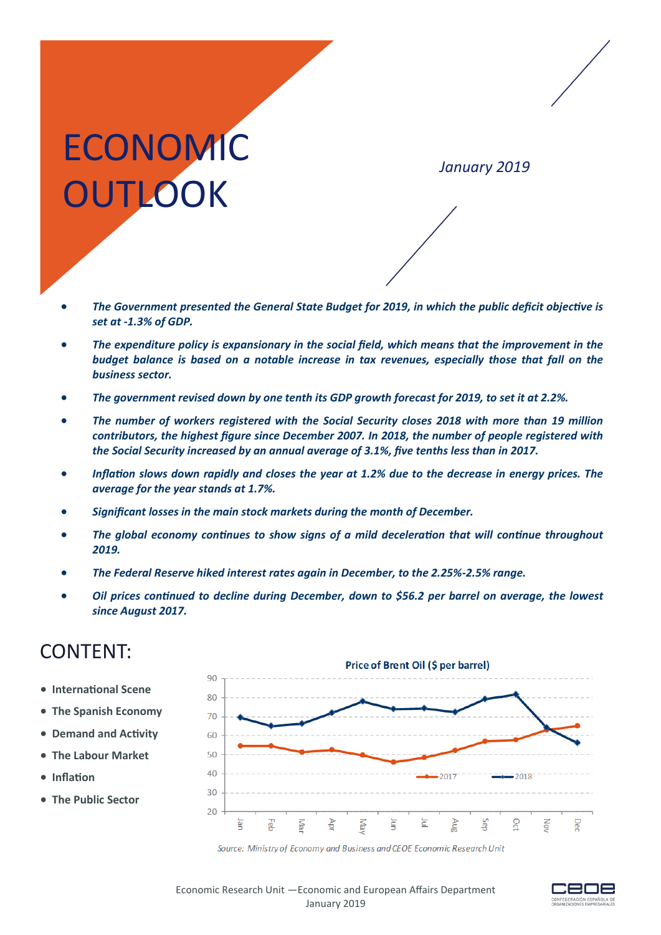# **ECONOMIC OUTLOOK**

*January 2019*

- *The Government presented the General State Budget for 2019, in which the public deficit objective is set at -1.3% of GDP.*
- *The expenditure policy is expansionary in the social field, which means that the improvement in the budget balance is based on a notable increase in tax revenues, especially those that fall on the business sector.*
- *The government revised down by one tenth its GDP growth forecast for 2019, to set it at 2.2%.*
- *The number of workers registered with the Social Security closes 2018 with more than 19 million contributors, the highest figure since December 2007. In 2018, the number of people registered with the Social Security increased by an annual average of 3.1%, five tenths less than in 2017.*
- *Inflation slows down rapidly and closes the year at 1.2% due to the decrease in energy prices. The average for the year stands at 1.7%.*
- *Significant losses in the main stock markets during the month of December.*
- *The global economy continues to show signs of a mild deceleration that will continue throughout 2019.*
- *The Federal Reserve hiked interest rates again in December, to the 2.25%-2.5% range.*
- *Oil prices continued to decline during December, down to \$56.2 per barrel on average, the lowest since August 2017.*

## CONTENT:

- **International Scene**
- **The Spanish Economy**
- **Demand and Activity**
- **The Labour Market**
- **Inflation**
- **The Public Sector**





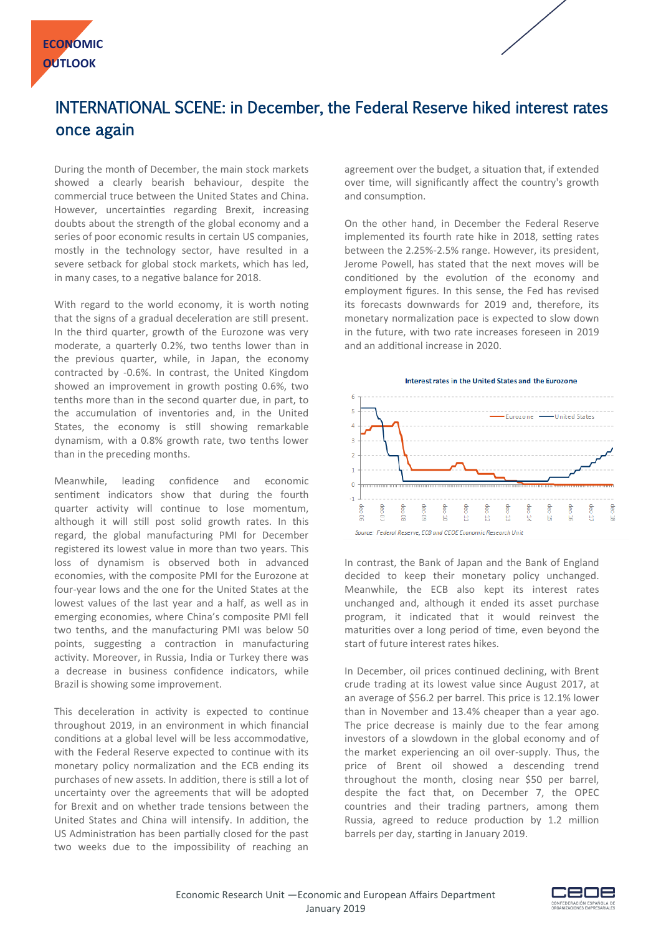

## INTERNATIONAL SCENE: in December, the Federal Reserve hiked interest rates once again

During the month of December, the main stock markets showed a clearly bearish behaviour, despite the commercial truce between the United States and China. However, uncertainties regarding Brexit, increasing doubts about the strength of the global economy and a series of poor economic results in certain US companies, mostly in the technology sector, have resulted in a severe setback for global stock markets, which has led, in many cases, to a negative balance for 2018.

With regard to the world economy, it is worth noting that the signs of a gradual deceleration are still present. In the third quarter, growth of the Eurozone was very moderate, a quarterly 0.2%, two tenths lower than in the previous quarter, while, in Japan, the economy contracted by -0.6%. In contrast, the United Kingdom showed an improvement in growth posting 0.6%, two tenths more than in the second quarter due, in part, to the accumulation of inventories and, in the United States, the economy is still showing remarkable dynamism, with a 0.8% growth rate, two tenths lower than in the preceding months.

Meanwhile, leading confidence and economic sentiment indicators show that during the fourth quarter activity will continue to lose momentum, although it will still post solid growth rates. In this regard, the global manufacturing PMI for December registered its lowest value in more than two years. This loss of dynamism is observed both in advanced economies, with the composite PMI for the Eurozone at four-year lows and the one for the United States at the lowest values of the last year and a half, as well as in emerging economies, where China's composite PMI fell two tenths, and the manufacturing PMI was below 50 points, suggesting a contraction in manufacturing activity. Moreover, in Russia, India or Turkey there was a decrease in business confidence indicators, while Brazil is showing some improvement.

This deceleration in activity is expected to continue throughout 2019, in an environment in which financial conditions at a global level will be less accommodative, with the Federal Reserve expected to continue with its monetary policy normalization and the ECB ending its purchases of new assets. In addition, there is still a lot of uncertainty over the agreements that will be adopted for Brexit and on whether trade tensions between the United States and China will intensify. In addition, the US Administration has been partially closed for the past two weeks due to the impossibility of reaching an agreement over the budget, a situation that, if extended over time, will significantly affect the country's growth and consumption.

On the other hand, in December the Federal Reserve implemented its fourth rate hike in 2018, setting rates between the 2.25%-2.5% range. However, its president, Jerome Powell, has stated that the next moves will be conditioned by the evolution of the economy and employment figures. In this sense, the Fed has revised its forecasts downwards for 2019 and, therefore, its monetary normalization pace is expected to slow down in the future, with two rate increases foreseen in 2019 and an additional increase in 2020.



In contrast, the Bank of Japan and the Bank of England decided to keep their monetary policy unchanged. Meanwhile, the ECB also kept its interest rates unchanged and, although it ended its asset purchase program, it indicated that it would reinvest the maturities over a long period of time, even beyond the start of future interest rates hikes.

In December, oil prices continued declining, with Brent crude trading at its lowest value since August 2017, at an average of \$56.2 per barrel. This price is 12.1% lower than in November and 13.4% cheaper than a year ago. The price decrease is mainly due to the fear among investors of a slowdown in the global economy and of the market experiencing an oil over-supply. Thus, the price of Brent oil showed a descending trend throughout the month, closing near \$50 per barrel, despite the fact that, on December 7, the OPEC countries and their trading partners, among them Russia, agreed to reduce production by 1.2 million barrels per day, starting in January 2019.

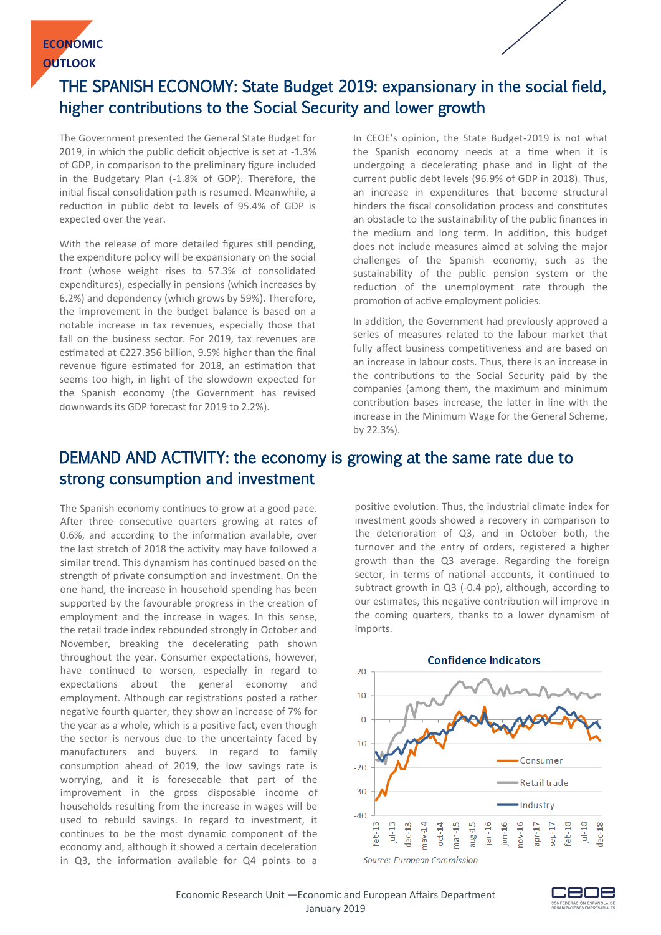

## THE SPANISH ECONOMY: State Budget 2019: expansionary in the social field, higher contributions to the Social Security and lower growth

The Government presented the General State Budget for 2019, in which the public deficit objective is set at -1.3% of GDP, in comparison to the preliminary figure included in the Budgetary Plan (-1.8% of GDP). Therefore, the initial fiscal consolidation path is resumed. Meanwhile, a reduction in public debt to levels of 95.4% of GDP is expected over the year.

With the release of more detailed figures still pending, the expenditure policy will be expansionary on the social front (whose weight rises to 57.3% of consolidated expenditures), especially in pensions (which increases by 6.2%) and dependency (which grows by 59%). Therefore, the improvement in the budget balance is based on a notable increase in tax revenues, especially those that fall on the business sector. For 2019, tax revenues are estimated at €227.356 billion, 9.5% higher than the final revenue figure estimated for 2018, an estimation that seems too high, in light of the slowdown expected for the Spanish economy (the Government has revised downwards its GDP forecast for 2019 to 2.2%).

In CEOE's opinion, the State Budget-2019 is not what the Spanish economy needs at a time when it is undergoing a decelerating phase and in light of the current public debt levels (96.9% of GDP in 2018). Thus, an increase in expenditures that become structural hinders the fiscal consolidation process and constitutes an obstacle to the sustainability of the public finances in the medium and long term. In addition, this budget does not include measures aimed at solving the major challenges of the Spanish economy, such as the sustainability of the public pension system or the reduction of the unemployment rate through the promotion of active employment policies.

In addition, the Government had previously approved a series of measures related to the labour market that fully affect business competitiveness and are based on an increase in labour costs. Thus, there is an increase in the contributions to the Social Security paid by the companies (among them, the maximum and minimum contribution bases increase, the latter in line with the increase in the Minimum Wage for the General Scheme, by 22.3%).

#### DEMAND AND ACTIVITY: the economy is growing at the same rate due to strong consumption and investment

The Spanish economy continues to grow at a good pace. After three consecutive quarters growing at rates of 0.6%, and according to the information available, over the last stretch of 2018 the activity may have followed a similar trend. This dynamism has continued based on the strength of private consumption and investment. On the one hand, the increase in household spending has been supported by the favourable progress in the creation of employment and the increase in wages. In this sense, the retail trade index rebounded strongly in October and November, breaking the decelerating path shown throughout the year. Consumer expectations, however, have continued to worsen, especially in regard to expectations about the general economy and employment. Although car registrations posted a rather negative fourth quarter, they show an increase of 7% for the year as a whole, which is a positive fact, even though the sector is nervous due to the uncertainty faced by manufacturers and buyers. In regard to family consumption ahead of 2019, the low savings rate is worrying, and it is foreseeable that part of the improvement in the gross disposable income of households resulting from the increase in wages will be used to rebuild savings. In regard to investment, it continues to be the most dynamic component of the economy and, although it showed a certain deceleration in Q3, the information available for Q4 points to a

positive evolution. Thus, the industrial climate index for investment goods showed a recovery in comparison to the deterioration of Q3, and in October both, the turnover and the entry of orders, registered a higher growth than the Q3 average. Regarding the foreign sector, in terms of national accounts, it continued to subtract growth in Q3 (-0.4 pp), although, according to our estimates, this negative contribution will improve in the coming quarters, thanks to a lower dynamism of imports.



**Source: European Commission**